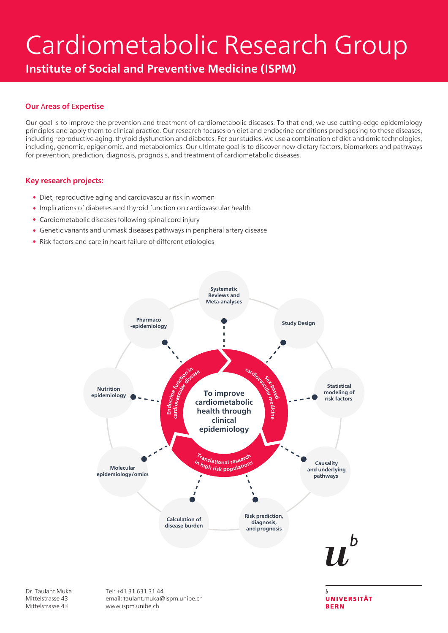# Cardiometabolic Research Group

Institute of Social and Preventive Medicine (ISPM)

#### Our Аreas of Еxpertise

Our goal is to improve the prevention and treatment of cardiometabolic diseases. To that end, we use cutting-edge epidemiology principles and apply them to clinical practice. Our research focuses on diet and endocrine conditions predisposing to these diseases, including reproductive aging, thyroid dysfunction and diabetes. For our studies, we use a combination of diet and omic technologies, including, genomic, epigenomic, and metabolomics. Our ultimate goal is to discover new dietary factors, biomarkers and pathways for prevention, prediction, diagnosis, prognosis, and treatment of cardiometabolic diseases.

#### Key research projects:

- Diet, reproductive aging and cardiovascular risk in women
- Implications of diabetes and thyroid function on cardiovascular health
- Cardiometabolic diseases following spinal cord injury
- Genetic variants and unmask diseases pathways in peripheral artery disease
- Risk factors and care in heart failure of different etiologies



**BERN** 

Dr. Taulant Muka Mittelstrasse 43 Mittelstrasse 43